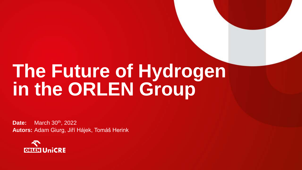## **The Future of Hydrogen in the ORLEN Group**

**Date:** March 30<sup>th</sup>, 2022 **Autors:** Adam Giurg, Jiří Hájek, Tomáš Herink

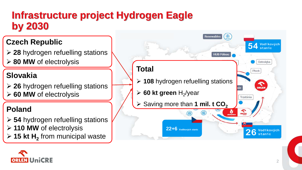#### **Infrastructure project Hydrogen Eagle by 2030**

#### **Czech Republic**

➢ **28** hydrogen refuelling stations ➢ **80 MW** of electrolysis

#### **Slovakia**

➢ **26** hydrogen refuelling stations ➢ **60 MW** of electrolysis

#### **Poland**

➢ **54** hydrogen refuelling stations ➢ **110 MW** of electrolysis ➢ **15 kt H<sup>2</sup>** from municipal waste



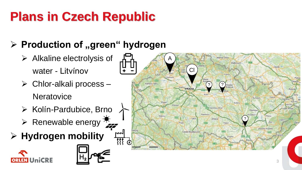### **Plans in Czech Republic**

#### **▷ Production of "green" hydrogen**

- ➢ Alkaline electrolysis of water - Litvínov
- ➢ Chlor-alkali process **Neratovice**
- ➢ Kolín-Pardubice, Brno
- $\triangleright$  Renewable energy  $\mathbb{Z}$
- ➢ **Hydrogen mobility**





棼

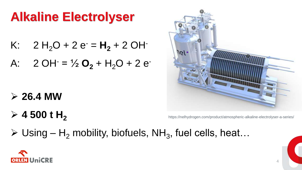#### **Alkaline Electrolyser**

- K:  $2 H_2O + 2 e^- = H_2 + 2 O H^-$
- A:  $2 \text{OH} = \frac{1}{2} \text{O}_2 + \text{H}_2\text{O} + 2 \text{e}$

- ➢ **26.4 MW**
- $> 4500$  t H<sub>2</sub>



https://nelhydrogen.com/product/atmospheric-alkaline-electrolyser-a-series/

 $\triangleright$  Using – H<sub>2</sub> mobility, biofuels, NH<sub>3</sub>, fuel cells, heat...

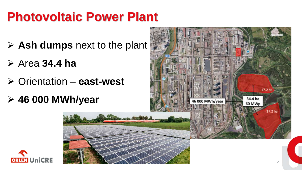#### **Photovoltaic Power Plant**

- ➢ **Ash dumps** next to the plant
- ➢ Area **34.4 ha**
- ➢ Orientation **east-west**
- ➢ **46 000 MWh/year**



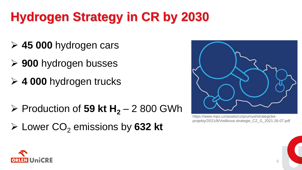### **Hydrogen Strategy in CR by 2030**

- ➢ **45 000** hydrogen cars
- ➢ **900** hydrogen busses
- ➢ **4 000** hydrogen trucks
- ➢ Production of **59 kt H<sup>2</sup>** 2 800 GWh
- ➢ Lower CO<sup>2</sup> emissions by **632 kt**



https://www.mpo.cz/assets/cz/prumysl/strategickeprojekty/2021/8/Vodikova-strategie\_CZ\_G\_2021-26-07.pdf

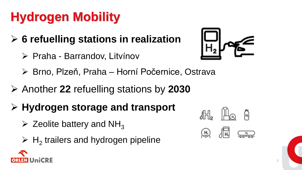### **Hydrogen Mobility**

- ➢ **6 refuelling stations in realization**
	- ➢ Praha Barrandov, Litvínov



- ➢ Brno, Plzeň, Praha Horní Počernice, Ostrava
- ➢ Another **22** refuelling stations by **2030**
- ➢ **Hydrogen storage and transport**
	- $\triangleright$  Zeolite battery and NH<sub>3</sub>
	- $\triangleright$  H<sub>2</sub> trailers and hydrogen pipeline

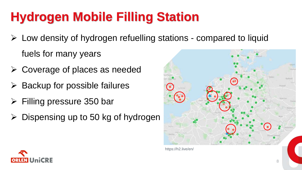### **Hydrogen Mobile Filling Station**

- ➢ Low density of hydrogen refuelling stations compared to liquid fuels for many years
- ➢ Coverage of places as needed
- Backup for possible failures
- ➢ Filling pressure 350 bar
- Dispensing up to 50 kg of hydrogen



https://h2.live/en/

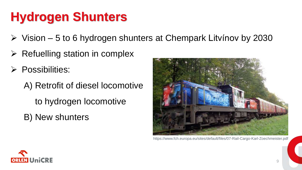#### **Hydrogen Shunters**

- ➢ Vision 5 to 6 hydrogen shunters at Chempark Litvínov by 2030
- $\triangleright$  Refuelling station in complex
- ➢ Possibilities:
	- A) Retrofit of diesel locomotive to hydrogen locomotive B) New shunters



https://www.fch.europa.eu/sites/default/files/07-Rail-Cargo-Karl-Zoechmeister.pdf

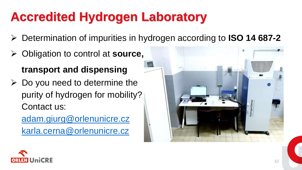### **Accredited Hydrogen Laboratory**

- ➢ Determination of impurities in hydrogen according to **ISO 14 687-2**
- ➢ Obligation to control at **source, transport and dispensing**
- $\triangleright$  Do you need to determine the purity of hydrogen for mobility? Contact us:

[adam.giurg@orlenunicre.cz](mailto:adam.giurg@orlenunicre.cz) [karla.cerna@orlenunicre.cz](mailto:Karl.cerna@unicre.cz)



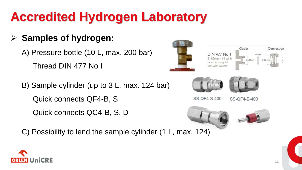### **Accredited Hydrogen Laboratory**

#### ➢ **Samples of hydrogen:**

A) Pressure bottle (10 L, max. 200 bar) Thread DIN 477 No I

B) Sample cylinder (up to 3 L, max. 124 bar) Quick connects QF4-B, S

Quick connects QC4-B, S, D

C) Possibility to lend the sample cylinder (1 L, max. 124)